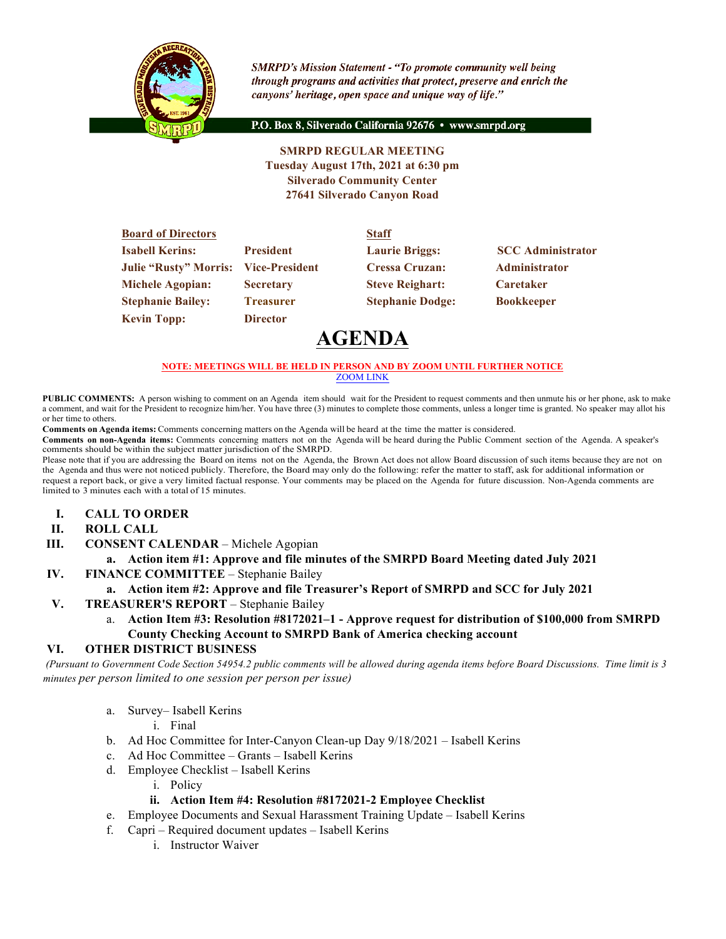

**SMRPD's Mission Statement - "To promote community well being** through programs and activities that protect, preserve and enrich the canyons' heritage, open space and unique way of life."

P.O. Box 8, Silverado California 92676 · www.smrpd.org

## **SMRPD REGULAR MEETING Tuesday August 17th, 2021 at 6:30 pm Silverado Community Center 27641 Silverado Canyon Road**

| <b>Board of Directors</b>                   |                  | <b>Staff</b>            |                          |
|---------------------------------------------|------------------|-------------------------|--------------------------|
| <b>Isabell Kerins:</b>                      | <b>President</b> | <b>Laurie Briggs:</b>   | <b>SCC Administrator</b> |
| <b>Julie "Rusty" Morris: Vice-President</b> |                  | <b>Cressa Cruzan:</b>   | <b>Administrator</b>     |
| <b>Michele Agopian:</b>                     | <b>Secretary</b> | <b>Steve Reighart:</b>  | <b>Caretaker</b>         |
| <b>Stephanie Bailey:</b>                    | <b>Treasurer</b> | <b>Stephanie Dodge:</b> | <b>Bookkeeper</b>        |
| <b>Kevin Topp:</b>                          | <b>Director</b>  |                         |                          |

# **AGENDA**

#### **NOTE: MEETINGS WILL BE HELD IN PERSON AND BY ZOOM UNTIL FURTHER NOTICE** ZOOM LINK

**PUBLIC COMMENTS:** A person wishing to comment on an Agenda item should wait for the President to request comments and then unmute his or her phone, ask to make a comment, and wait for the President to recognize him/her. You have three (3) minutes to complete those comments, unless a longer time is granted. No speaker may allot his or her time to others.

**Comments on Agenda items:** Comments concerning matters on the Agenda will be heard at the time the matter is considered.

**Comments on non-Agenda items:** Comments concerning matters not on the Agenda will be heard during the Public Comment section of the Agenda. A speaker's comments should be within the subject matter jurisdiction of the SMRPD.

Please note that if you are addressing the Board on items not on the Agenda, the Brown Act does not allow Board discussion of such items because they are not on the Agenda and thus were not noticed publicly. Therefore, the Board may only do the following: refer the matter to staff, ask for additional information or request a report back, or give a very limited factual response. Your comments may be placed on the Agenda for future discussion. Non-Agenda comments are limited to 3 minutes each with a total of 15 minutes.

- **I. CALL TO ORDER**
- **II. ROLL CALL**
- **III. CONSENT CALENDAR** Michele Agopian

#### **a. Action item #1: Approve and file minutes of the SMRPD Board Meeting dated July 2021**

**IV. FINANCE COMMITTEE** – Stephanie Bailey

#### **a. Action item #2: Approve and file Treasurer's Report of SMRPD and SCC for July 2021**

- **V. TREASURER'S REPORT** Stephanie Bailey
	- a. **Action Item #3: Resolution #8172021–1 - Approve request for distribution of \$100,000 from SMRPD County Checking Account to SMRPD Bank of America checking account**

#### **VI. OTHER DISTRICT BUSINESS**

*(Pursuant to Government Code Section 54954.2 public comments will be allowed during agenda items before Board Discussions. Time limit is 3 minutes per person limited to one session per person per issue)*

- a. Survey– Isabell Kerins
	- i. Final
- b. Ad Hoc Committee for Inter-Canyon Clean-up Day 9/18/2021 Isabell Kerins
- c. Ad Hoc Committee Grants Isabell Kerins
- d. Employee Checklist Isabell Kerins
	- i. Policy

#### **ii. Action Item #4: Resolution #8172021-2 Employee Checklist**

- e. Employee Documents and Sexual Harassment Training Update Isabell Kerins
- f. Capri Required document updates Isabell Kerins
	- i. Instructor Waiver